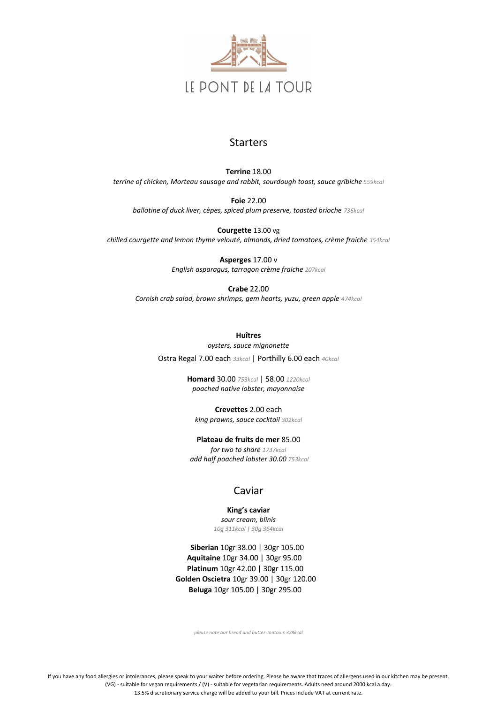

#### **Starters**

If you have any food allergies or intolerances, please speak to your waiter before ordering. Please be aware that traces of allergens used in our kitchen may be present. (VG) - suitable for vegan requirements / (V) - suitable for vegetarian requirements. Adults need around 2000 kcal a day. 13.5% discretionary service charge will be added to your bill. Prices include VAT at current rate.

**Terrine** 18.00 *terrine of chicken, Morteau sausage and rabbit, sourdough toast, sauce gribiche 559kcal*

**Foie** 22.00 *ballotine of duck liver, cèpes, spiced plum preserve, toasted brioche 736kcal*

**Courgette** 13.00 vg *chilled courgette and lemon thyme velouté, almonds, dried tomatoes, crème fraiche 354kcal*

> **Asperges** 17.00 v *English asparagus, tarragon crème fraiche 207kcal*

**Crabe** 22.00 *Cornish crab salad, brown shrimps, gem hearts, yuzu, green apple 474kcal*

> **Huîtres** *oysters, sauce mignonette* Ostra Regal 7.00 each *33kcal* | Porthilly 6.00 each *40kcal*

> > **Homard** 30.00 *753kcal* | 58.00 *1220kcal poached native lobster, mayonnaise*

**Crevettes** 2.00 each *king prawns, sauce cocktail 302kcal*

**Plateau de fruits de mer** 85.00 *for two to share 1737kcal add half poached lobster 30.00 753kcal*

## Caviar

**King's caviar** *sour cream, blinis 10g 311kcal | 30g 364kcal*

 **Siberian** 10gr 38.00 | 30gr 105.00  **Aquitaine** 10gr 34.00 | 30gr 95.00  **Platinum** 10gr 42.00 | 30gr 115.00  **Golden Oscietra** 10gr 39.00 | 30gr 120.00  **Beluga** 10gr 105.00 | 30gr 295.00

*please note our bread and butter contains 328kcal*